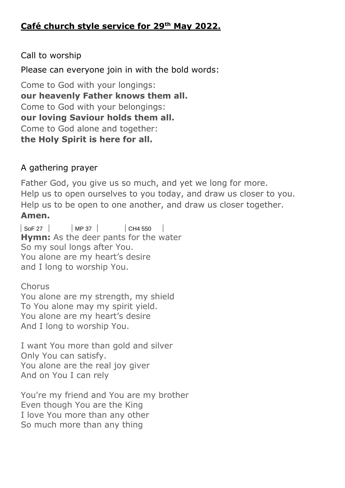# **Café church style service for 29th May 2022.**

Call to worship

Please can everyone join in with the bold words:

Come to God with your longings: **our heavenly Father knows them all.** Come to God with your belongings: **our loving Saviour holds them all.** Come to God alone and together: **the Holy Spirit is here for all.**

### A gathering prayer

Father God, you give us so much, and yet we long for more. Help us to open ourselves to you today, and draw us closer to you. Help us to be open to one another, and draw us closer together. **Amen.**

 $|S$  6F 27  $|$  MP 37  $|$  CH4 550 **Hymn:** As the deer pants for the water So my soul longs after You. You alone are my heart's desire and I long to worship You.

**Chorus** You alone are my strength, my shield To You alone may my spirit yield. You alone are my heart's desire And I long to worship You.

I want You more than gold and silver Only You can satisfy. You alone are the real jov giver And on You I can rely

You're my friend and You are my brother Even though You are the King I love You more than any other So much more than any thing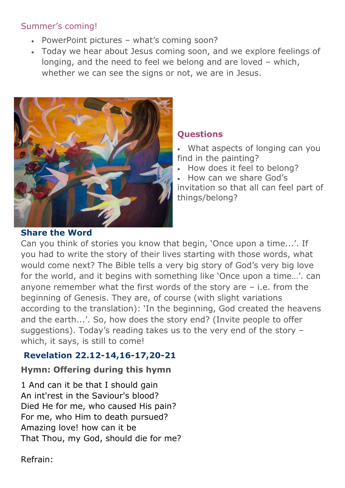### Summer's coming!

- PowerPoint pictures what's coming soon?
- Today we hear about Jesus coming soon, and we explore feelings of longing, and the need to feel we belong and are loved – which, whether we can see the signs or not, we are in Jesus.



### **Questions**

• What aspects of longing can you find in the painting?

- How does it feel to belong?
- How can we share God's

invitation so that all can feel part of things/belong?

#### **Share the Word**

Can you think of stories you know that begin, 'Once upon a time...'. If you had to write the story of their lives starting with those words, what would come next? The Bible tells a very big story of God's very big love for the world, and it begins with something like 'Once upon a time…'. can anyone remember what the first words of the story are – i.e. from the beginning of Genesis. They are, of course (with slight variations according to the translation): 'In the beginning, God created the heavens and the earth...'. So, how does the story end? (Invite people to offer suggestions). Today's reading takes us to the very end of the story – which, it says, is still to come!

### **Revelation 22.12-14,16-17,20-21**

### **Hymn: Offering during this hymn**

1 And can it be that I should gain An int'rest in the Saviour's blood? Died He for me, who caused His pain? For me, who Him to death pursued? Amazing love! how can it be That Thou, my God, should die for me?

Refrain: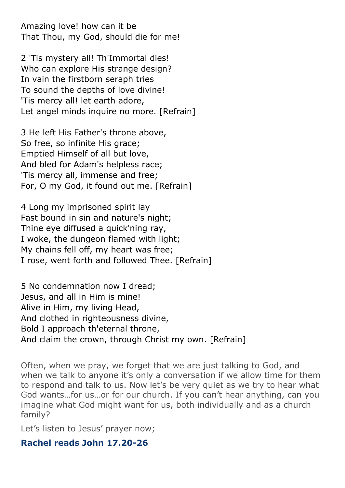Amazing love! how can it be That Thou, my God, should die for me!

2 'Tis mystery all! Th'Immortal dies! Who can explore His strange design? In vain the firstborn seraph tries To sound the depths of love divine! 'Tis mercy all! let earth adore, Let angel minds inquire no more. [Refrain]

3 He left His Father's throne above, So free, so infinite His grace; Emptied Himself of all but love, And bled for Adam's helpless race; 'Tis mercy all, immense and free; For, O my God, it found out me. [Refrain]

4 Long my imprisoned spirit lay Fast bound in sin and nature's night; Thine eye diffused a quick'ning ray, I woke, the dungeon flamed with light; My chains fell off, my heart was free; I rose, went forth and followed Thee. [Refrain]

5 No condemnation now I dread; Jesus, and all in Him is mine! Alive in Him, my living Head, And clothed in righteousness divine, Bold I approach th'eternal throne, And claim the crown, through Christ my own. [Refrain]

Often, when we pray, we forget that we are just talking to God, and when we talk to anyone it's only a conversation if we allow time for them to respond and talk to us. Now let's be very quiet as we try to hear what God wants…for us…or for our church. If you can't hear anything, can you imagine what God might want for us, both individually and as a church family?

Let's listen to Jesus' prayer now;

### **Rachel reads John 17.20-26**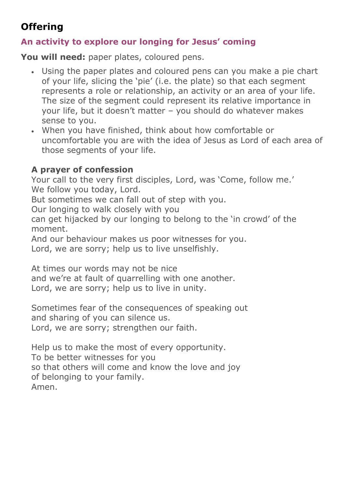# **Offering**

# **An activity to explore our longing for Jesus' coming**

**You will need:** paper plates, coloured pens.

- Using the paper plates and coloured pens can you make a pie chart of your life, slicing the 'pie' (i.e. the plate) so that each segment represents a role or relationship, an activity or an area of your life. The size of the segment could represent its relative importance in your life, but it doesn't matter – you should do whatever makes sense to you.
- When you have finished, think about how comfortable or uncomfortable you are with the idea of Jesus as Lord of each area of those segments of your life.

# **A prayer of confession**

Your call to the very first disciples, Lord, was 'Come, follow me.' We follow you today, Lord.

But sometimes we can fall out of step with you.

Our longing to walk closely with you

can get hijacked by our longing to belong to the 'in crowd' of the moment.

And our behaviour makes us poor witnesses for you.

Lord, we are sorry; help us to live unselfishly.

At times our words may not be nice and we're at fault of quarrelling with one another. Lord, we are sorry; help us to live in unity.

Sometimes fear of the consequences of speaking out and sharing of you can silence us. Lord, we are sorry; strengthen our faith.

Help us to make the most of every opportunity. To be better witnesses for you so that others will come and know the love and joy of belonging to your family. Amen.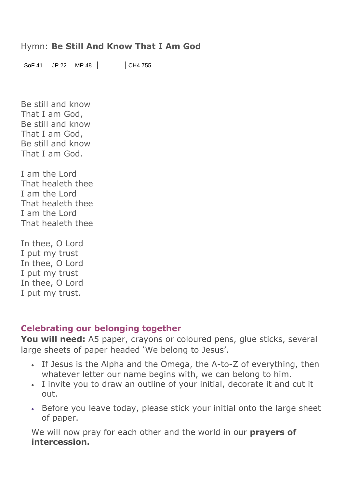### Hymn: **Be Still And Know That I Am God**

 $|S$  oF 41 | JP 22 | MP 48 | | CH4 755  $\mathcal{L}$ 

Be still and know That I am God, Be still and know That I am God, Be still and know That I am God.

I am the Lord That healeth thee I am the Lord That healeth thee I am the Lord That healeth thee

In thee, O Lord I put my trust In thee, O Lord I put my trust In thee, O Lord I put my trust.

### **Celebrating our belonging together**

**You will need:** A5 paper, crayons or coloured pens, glue sticks, several large sheets of paper headed 'We belong to Jesus'.

- If Jesus is the Alpha and the Omega, the A-to-Z of everything, then whatever letter our name begins with, we can belong to him.
- I invite you to draw an outline of your initial, decorate it and cut it out.
- Before you leave today, please stick your initial onto the large sheet of paper.

We will now pray for each other and the world in our **prayers of intercession.**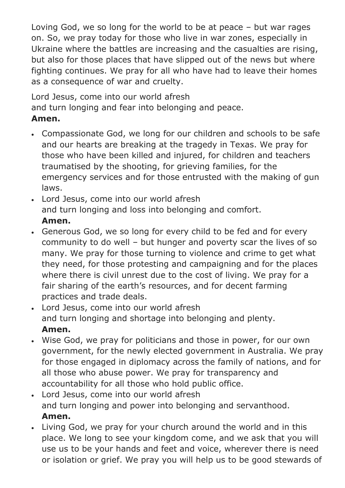Loving God, we so long for the world to be at peace – but war rages on. So, we pray today for those who live in war zones, especially in Ukraine where the battles are increasing and the casualties are rising, but also for those places that have slipped out of the news but where fighting continues. We pray for all who have had to leave their homes as a consequence of war and cruelty.

Lord Jesus, come into our world afresh

and turn longing and fear into belonging and peace.

# **Amen.**

- Compassionate God, we long for our children and schools to be safe and our hearts are breaking at the tragedy in Texas. We pray for those who have been killed and injured, for children and teachers traumatised by the shooting, for grieving families, for the emergency services and for those entrusted with the making of gun laws.
- Lord Jesus, come into our world afresh and turn longing and loss into belonging and comfort. **Amen.**
- Generous God, we so long for every child to be fed and for every community to do well – but hunger and poverty scar the lives of so many. We pray for those turning to violence and crime to get what they need, for those protesting and campaigning and for the places where there is civil unrest due to the cost of living. We pray for a fair sharing of the earth's resources, and for decent farming practices and trade deals.
- Lord Jesus, come into our world afresh and turn longing and shortage into belonging and plenty. **Amen.**
- Wise God, we pray for politicians and those in power, for our own government, for the newly elected government in Australia. We pray for those engaged in diplomacy across the family of nations, and for all those who abuse power. We pray for transparency and accountability for all those who hold public office.
- Lord Jesus, come into our world afresh and turn longing and power into belonging and servanthood. **Amen.**
- Living God, we pray for your church around the world and in this place. We long to see your kingdom come, and we ask that you will use us to be your hands and feet and voice, wherever there is need or isolation or grief. We pray you will help us to be good stewards of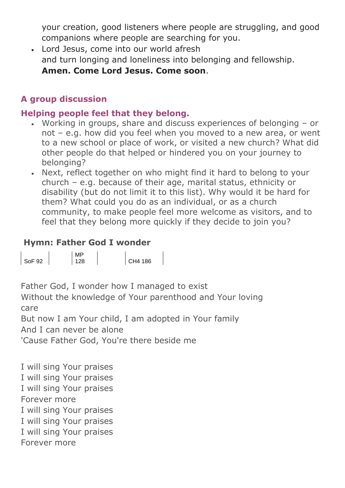your creation, good listeners where people are struggling, and good companions where people are searching for you.

• Lord Jesus, come into our world afresh and turn longing and loneliness into belonging and fellowship. **Amen. Come Lord Jesus. Come soon**.

### **A group discussion**

### **Helping people feel that they belong.**

- Working in groups, share and discuss experiences of belonging or not – e.g. how did you feel when you moved to a new area, or went to a new school or place of work, or visited a new church? What did other people do that helped or hindered you on your journey to belonging?
- Next, reflect together on who might find it hard to belong to your church – e.g. because of their age, marital status, ethnicity or disability (but do not limit it to this list). Why would it be hard for them? What could you do as an individual, or as a church community, to make people feel more welcome as visitors, and to feel that they belong more quickly if they decide to join you?

#### **Hymn: Father God I wonder**

SoF 92 MP<br>128 CH4 186

Father God, I wonder how I managed to exist

Without the knowledge of Your parenthood and Your loving care

But now I am Your child, I am adopted in Your family

And I can never be alone

'Cause Father God, You're there beside me

I will sing Your praises I will sing Your praises I will sing Your praises Forever more I will sing Your praises I will sing Your praises I will sing Your praises Forever more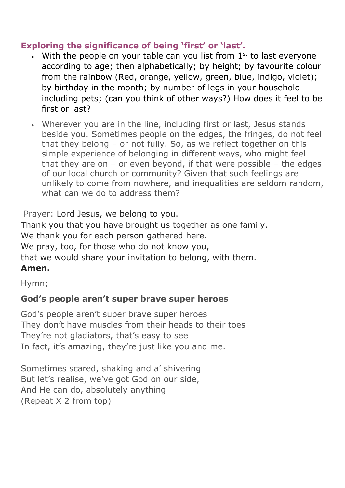### **Exploring the significance of being 'first' or 'last'.**

- With the people on your table can you list from  $1<sup>st</sup>$  to last everyone according to age; then alphabetically; by height; by favourite colour from the rainbow (Red, orange, yellow, green, blue, indigo, violet); by birthday in the month; by number of legs in your household including pets; (can you think of other ways?) How does it feel to be first or last?
- Wherever you are in the line, including first or last, Jesus stands beside you. Sometimes people on the edges, the fringes, do not feel that they belong – or not fully. So, as we reflect together on this simple experience of belonging in different ways, who might feel that they are on – or even beyond, if that were possible – the edges of our local church or community? Given that such feelings are unlikely to come from nowhere, and inequalities are seldom random, what can we do to address them?

Prayer: Lord Jesus, we belong to you.

Thank you that you have brought us together as one family. We thank you for each person gathered here. We pray, too, for those who do not know you, that we would share your invitation to belong, with them. **Amen.**

Hymn;

# **God's people aren't super brave super heroes**

God's people aren't super brave super heroes They don't have muscles from their heads to their toes They're not gladiators, that's easy to see In fact, it's amazing, they're just like you and me.

Sometimes scared, shaking and a' shivering But let's realise, we've got God on our side, And He can do, absolutely anything (Repeat X 2 from top)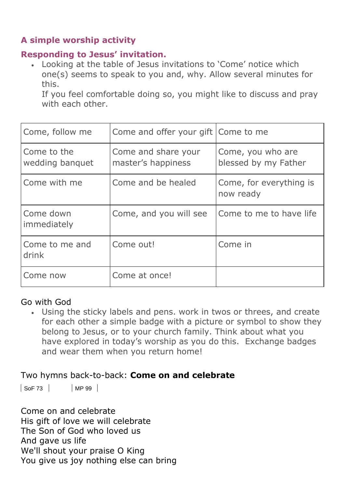# **A simple worship activity**

### **Responding to Jesus' invitation.**

• Looking at the table of Jesus invitations to 'Come' notice which one(s) seems to speak to you and, why. Allow several minutes for this.

If you feel comfortable doing so, you might like to discuss and pray with each other.

| Come, follow me                | Come and offer your gift   Come to me     |                                           |
|--------------------------------|-------------------------------------------|-------------------------------------------|
| Come to the<br>wedding banquet | Come and share your<br>master's happiness | Come, you who are<br>blessed by my Father |
| Come with me                   | Come and be healed                        | Come, for everything is<br>now ready      |
| Come down<br>immediately       | Come, and you will see                    | Come to me to have life                   |
| Come to me and<br>drink        | Come out!                                 | Come in                                   |
| Come now                       | Come at once!                             |                                           |

### Go with God

• Using the sticky labels and pens. work in twos or threes, and create for each other a simple badge with a picture or symbol to show they belong to Jesus, or to your church family. Think about what you have explored in today's worship as you do this. Exchange badges and wear them when you return home!

### Two hymns back-to-back: **Come on and celebrate**

 $S$ oF 73  $\vert$  MP 99  $\vert$ 

Come on and celebrate His gift of love we will celebrate The Son of God who loved us And gave us life We'll shout your praise O King You give us joy nothing else can bring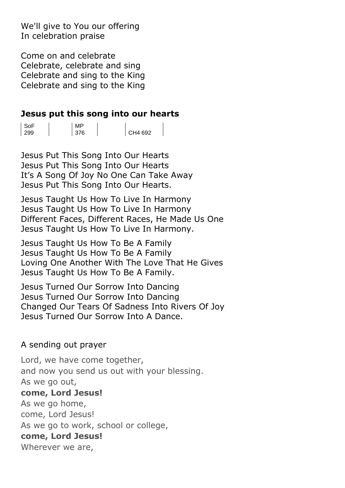We'll give to You our offering In celebration praise

Come on and celebrate Celebrate, celebrate and sing Celebrate and sing to the King Celebrate and sing to the King

### **Jesus put this song into our hearts**

SoF 299 MP<br>376  $\overline{\phantom{a}}$ CH4 692

Jesus Put This Song Into Our Hearts Jesus Put This Song Into Our Hearts It's A Song Of Joy No One Can Take Away Jesus Put This Song Into Our Hearts.

Jesus Taught Us How To Live In Harmony Jesus Taught Us How To Live In Harmony Different Faces, Different Races, He Made Us One Jesus Taught Us How To Live In Harmony.

Jesus Taught Us How To Be A Family Jesus Taught Us How To Be A Family Loving One Another With The Love That He Gives Jesus Taught Us How To Be A Family.

Jesus Turned Our Sorrow Into Dancing Jesus Turned Our Sorrow Into Dancing Changed Our Tears Of Sadness Into Rivers Of Joy Jesus Turned Our Sorrow Into A Dance.

### A sending out prayer

Lord, we have come together, and now you send us out with your blessing. As we go out, **come, Lord Jesus!** As we go home, come, Lord Jesus! As we go to work, school or college, **come, Lord Jesus!** Wherever we are,